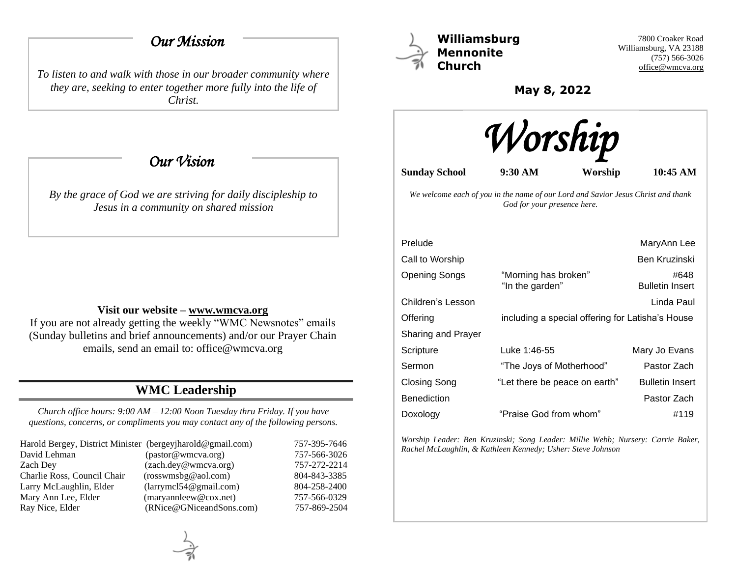# *Our Mission*

*To listen to and walk with those in our broader community where they are, seeking to enter together more fully into the life of Christ.*

 *Our Vision* 

*By the grace of God we are striving for daily discipleship to Jesus in a community on shared mission*

### **Visit our website – [www.wmcva.org](http://www.wmcva.org/)**

If you are not already getting the weekly "WMC Newsnotes" emails (Sunday bulletins and brief announcements) and/or our Prayer Chain emails, send an email to: office@wmcva.org

# **WMC Leadership**

*Church office hours: 9:00 AM – 12:00 Noon Tuesday thru Friday. If you have questions, concerns, or compliments you may contact any of the following persons.*

| Harold Bergey, District Minister (bergeyjharold@gmail.com) |                                | 757-395-7646 |
|------------------------------------------------------------|--------------------------------|--------------|
| David Lehman                                               | (pastor@wmcva.org)             | 757-566-3026 |
| Zach Dev                                                   | (zach.dey@wmcva.org)           | 757-272-2214 |
| Charlie Ross, Council Chair                                | (rosswmsbg@aol.com)            | 804-843-3385 |
| Larry McLaughlin, Elder                                    | (larymel 54@gmail.com)         | 804-258-2400 |
| Mary Ann Lee, Elder                                        | $(\text{maryannleew@cox.net})$ | 757-566-0329 |
| Ray Nice, Elder                                            | (RNice@GNiceandSons.com)       | 757-869-2504 |



**Williamsburg Mennonite Church**

7800 Croaker Road Williamsburg, VA 23188 (757) 566-3026 [office@wmcva.org](mailto:office@wmcva.org)

**May 8, 2022**



**Sunday School 9:30 AM Worship 10:45 AM**

*We welcome each of you in the name of our Lord and Savior Jesus Christ and thank God for your presence here.*

|                                         | MaryAnn Lee                                      |
|-----------------------------------------|--------------------------------------------------|
|                                         | Ben Kruzinski                                    |
| "Morning has broken"<br>"In the garden" | #648<br><b>Bulletin Insert</b>                   |
|                                         | Linda Paul                                       |
|                                         |                                                  |
|                                         |                                                  |
| Luke 1:46-55                            | Mary Jo Evans                                    |
| "The Joys of Motherhood"                | Pastor Zach                                      |
| "Let there be peace on earth"           | <b>Bulletin Insert</b>                           |
|                                         | Pastor Zach                                      |
| "Praise God from whom"                  | #119                                             |
|                                         | including a special offering for Latisha's House |

*Worship Leader: Ben Kruzinski; Song Leader: Millie Webb; Nursery: Carrie Baker, Rachel McLaughlin, & Kathleen Kennedy; Usher: Steve Johnson*